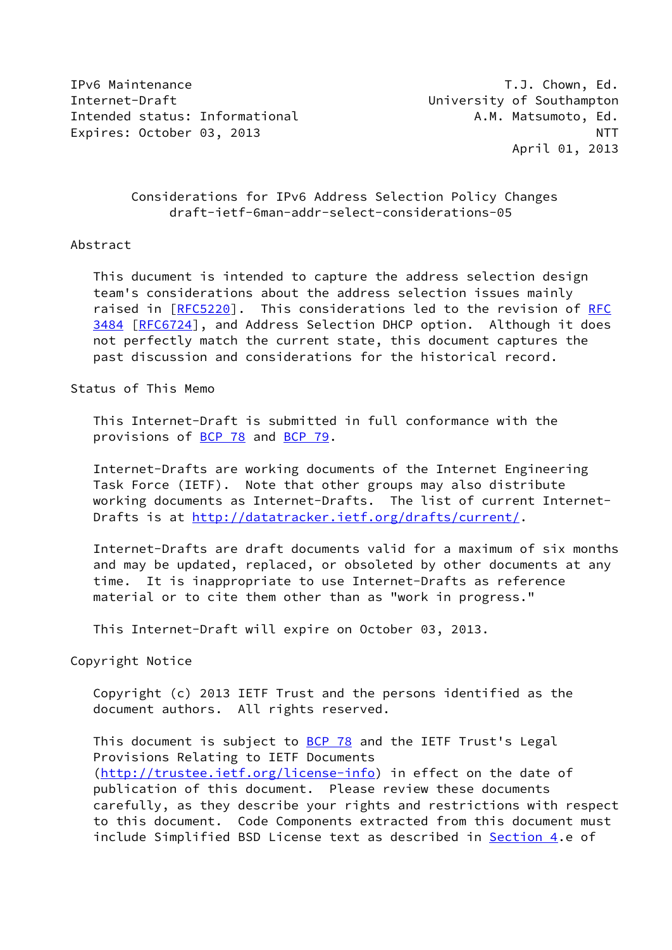IPv6 Maintenance T.J. Chown, Ed. Internet-Draft University of Southampton Intended status: Informational A.M. Matsumoto, Ed. Expires: October 03, 2013 NTT

April 01, 2013

# Considerations for IPv6 Address Selection Policy Changes draft-ietf-6man-addr-select-considerations-05

# Abstract

 This ducument is intended to capture the address selection design team's considerations about the address selection issues mainly raised in [[RFC5220](https://datatracker.ietf.org/doc/pdf/rfc5220)]. This considerations led to the revision of [RFC](https://datatracker.ietf.org/doc/pdf/rfc3484) [3484](https://datatracker.ietf.org/doc/pdf/rfc3484) [\[RFC6724](https://datatracker.ietf.org/doc/pdf/rfc6724)], and Address Selection DHCP option. Although it does not perfectly match the current state, this document captures the past discussion and considerations for the historical record.

Status of This Memo

 This Internet-Draft is submitted in full conformance with the provisions of [BCP 78](https://datatracker.ietf.org/doc/pdf/bcp78) and [BCP 79](https://datatracker.ietf.org/doc/pdf/bcp79).

 Internet-Drafts are working documents of the Internet Engineering Task Force (IETF). Note that other groups may also distribute working documents as Internet-Drafts. The list of current Internet Drafts is at<http://datatracker.ietf.org/drafts/current/>.

 Internet-Drafts are draft documents valid for a maximum of six months and may be updated, replaced, or obsoleted by other documents at any time. It is inappropriate to use Internet-Drafts as reference material or to cite them other than as "work in progress."

This Internet-Draft will expire on October 03, 2013.

Copyright Notice

 Copyright (c) 2013 IETF Trust and the persons identified as the document authors. All rights reserved.

This document is subject to **[BCP 78](https://datatracker.ietf.org/doc/pdf/bcp78)** and the IETF Trust's Legal Provisions Relating to IETF Documents [\(http://trustee.ietf.org/license-info](http://trustee.ietf.org/license-info)) in effect on the date of publication of this document. Please review these documents carefully, as they describe your rights and restrictions with respect to this document. Code Components extracted from this document must include Simplified BSD License text as described in [Section 4.](#page-4-0)e of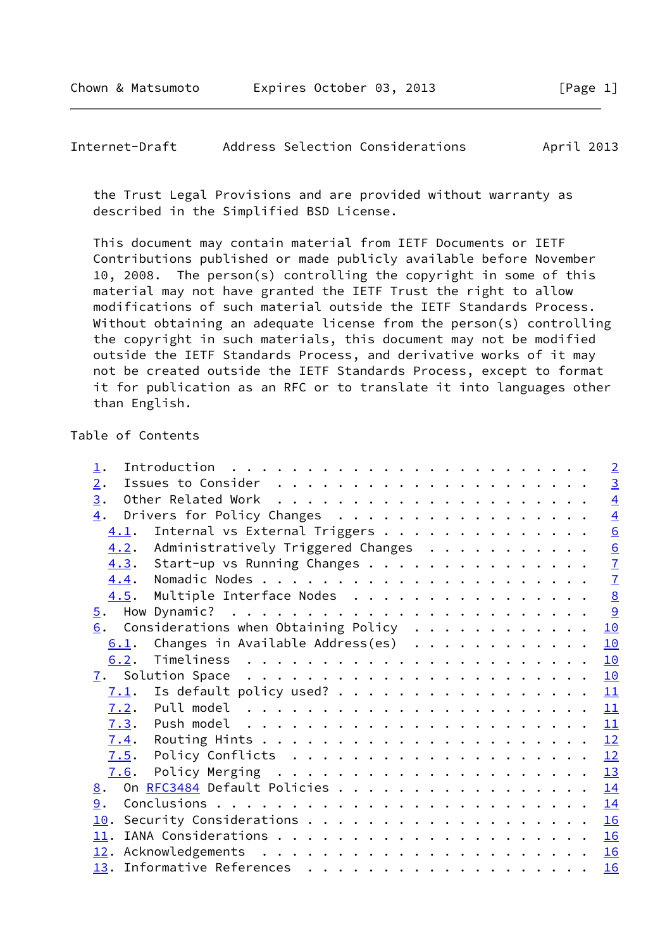#### <span id="page-1-0"></span>Internet-Draft Address Selection Considerations April 2013

 the Trust Legal Provisions and are provided without warranty as described in the Simplified BSD License.

 This document may contain material from IETF Documents or IETF Contributions published or made publicly available before November 10, 2008. The person(s) controlling the copyright in some of this material may not have granted the IETF Trust the right to allow modifications of such material outside the IETF Standards Process. Without obtaining an adequate license from the person(s) controlling the copyright in such materials, this document may not be modified outside the IETF Standards Process, and derivative works of it may not be created outside the IETF Standards Process, except to format it for publication as an RFC or to translate it into languages other than English.

# Table of Contents

| $\perp$ .                                 | $\sqrt{2}$      |
|-------------------------------------------|-----------------|
| 2.                                        | $\overline{3}$  |
| 3.                                        | $\overline{4}$  |
| Drivers for Policy Changes<br>4.          | $\overline{4}$  |
| Internal vs External Triggers<br>4.1.     | 6               |
| 4.2. Administratively Triggered Changes   | 6               |
| 4.3. Start-up vs Running Changes          | $\overline{1}$  |
| 4.4.                                      | $\overline{1}$  |
| Multiple Interface Nodes<br>4.5.          | $\underline{8}$ |
| 5.                                        | <u>୍ର</u>       |
| $6.$ Considerations when Obtaining Policy | 10              |
| Changes in Available Address(es)<br>6.1.  | 10              |
| 6.2.                                      | 10              |
|                                           | 10              |
| Is default policy used?<br>7.1.           | 11              |
| 7.2.                                      | 11              |
|                                           | 11              |
| 7.4.                                      | 12              |
| 7.5.                                      | <u> 12</u>      |
| 7.6.                                      | 13              |
| On $REC3484$ Default Policies<br>8.       | 14              |
| 9.                                        | 14              |
|                                           | 16              |
|                                           | 16              |
|                                           | 16              |
|                                           | 16              |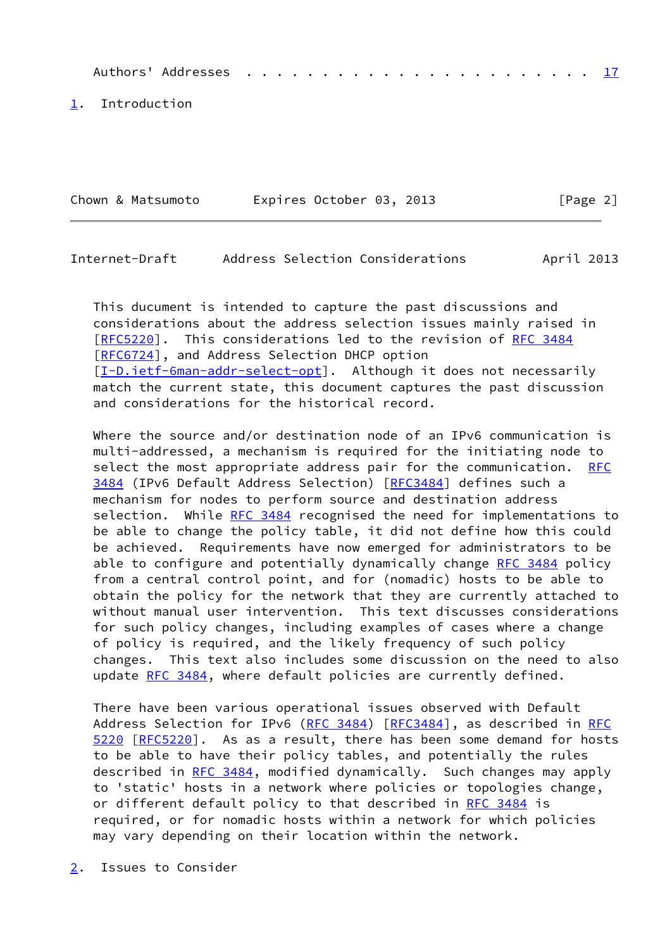Authors' Addresses . . . . . . . . . . . . . . . . . . . . . . . [17](#page-18-0)

<span id="page-2-0"></span>[1](#page-2-0). Introduction

| Chown & Matsumoto | Expires October 03, 2013 | [Page 2] |
|-------------------|--------------------------|----------|
|-------------------|--------------------------|----------|

# <span id="page-2-2"></span>Internet-Draft Address Selection Considerations April 2013

 This ducument is intended to capture the past discussions and considerations about the address selection issues mainly raised in [\[RFC5220](https://datatracker.ietf.org/doc/pdf/rfc5220)]. This considerations led to the revision of [RFC 3484](https://datatracker.ietf.org/doc/pdf/rfc3484) [\[RFC6724](https://datatracker.ietf.org/doc/pdf/rfc6724)], and Address Selection DHCP option [\[I-D.ietf-6man-addr-select-opt](#page-18-1)]. Although it does not necessarily match the current state, this document captures the past discussion and considerations for the historical record.

Where the source and/or destination node of an IPv6 communication is multi-addressed, a mechanism is required for the initiating node to select the most appropriate address pair for the communication. [RFC](https://datatracker.ietf.org/doc/pdf/rfc3484) [3484](https://datatracker.ietf.org/doc/pdf/rfc3484) (IPv6 Default Address Selection) [[RFC3484](https://datatracker.ietf.org/doc/pdf/rfc3484)] defines such a mechanism for nodes to perform source and destination address selection. While [RFC 3484](https://datatracker.ietf.org/doc/pdf/rfc3484) recognised the need for implementations to be able to change the policy table, it did not define how this could be achieved. Requirements have now emerged for administrators to be able to configure and potentially dynamically change [RFC 3484](https://datatracker.ietf.org/doc/pdf/rfc3484) policy from a central control point, and for (nomadic) hosts to be able to obtain the policy for the network that they are currently attached to without manual user intervention. This text discusses considerations for such policy changes, including examples of cases where a change of policy is required, and the likely frequency of such policy changes. This text also includes some discussion on the need to also update [RFC 3484,](https://datatracker.ietf.org/doc/pdf/rfc3484) where default policies are currently defined.

 There have been various operational issues observed with Default Address Selection for IPv6 ([RFC 3484\)](https://datatracker.ietf.org/doc/pdf/rfc3484) [[RFC3484](https://datatracker.ietf.org/doc/pdf/rfc3484)], as described in [RFC](https://datatracker.ietf.org/doc/pdf/rfc5220) [5220](https://datatracker.ietf.org/doc/pdf/rfc5220) [\[RFC5220](https://datatracker.ietf.org/doc/pdf/rfc5220)]. As as a result, there has been some demand for hosts to be able to have their policy tables, and potentially the rules described in [RFC 3484](https://datatracker.ietf.org/doc/pdf/rfc3484), modified dynamically. Such changes may apply to 'static' hosts in a network where policies or topologies change, or different default policy to that described in [RFC 3484](https://datatracker.ietf.org/doc/pdf/rfc3484) is required, or for nomadic hosts within a network for which policies may vary depending on their location within the network.

<span id="page-2-1"></span>[2](#page-2-1). Issues to Consider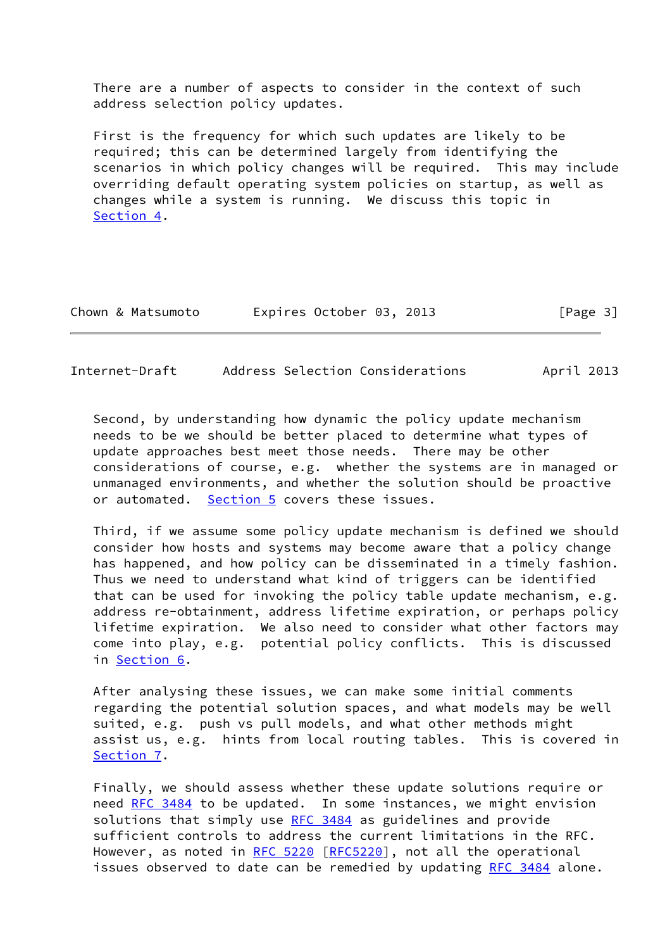There are a number of aspects to consider in the context of such address selection policy updates.

 First is the frequency for which such updates are likely to be required; this can be determined largely from identifying the scenarios in which policy changes will be required. This may include overriding default operating system policies on startup, as well as changes while a system is running. We discuss this topic in [Section 4](#page-4-0).

| Chown & Matsumoto | Expires October 03, 2013 |  | [Page 3] |
|-------------------|--------------------------|--|----------|
|-------------------|--------------------------|--|----------|

<span id="page-3-0"></span>Internet-Draft Address Selection Considerations April 2013

 Second, by understanding how dynamic the policy update mechanism needs to be we should be better placed to determine what types of update approaches best meet those needs. There may be other considerations of course, e.g. whether the systems are in managed or unmanaged environments, and whether the solution should be proactive or automated. [Section 5](#page-9-0) covers these issues.

 Third, if we assume some policy update mechanism is defined we should consider how hosts and systems may become aware that a policy change has happened, and how policy can be disseminated in a timely fashion. Thus we need to understand what kind of triggers can be identified that can be used for invoking the policy table update mechanism, e.g. address re-obtainment, address lifetime expiration, or perhaps policy lifetime expiration. We also need to consider what other factors may come into play, e.g. potential policy conflicts. This is discussed in [Section 6.](#page-10-0)

 After analysing these issues, we can make some initial comments regarding the potential solution spaces, and what models may be well suited, e.g. push vs pull models, and what other methods might assist us, e.g. hints from local routing tables. This is covered in [Section 7](#page-11-0).

 Finally, we should assess whether these update solutions require or need [RFC 3484](https://datatracker.ietf.org/doc/pdf/rfc3484) to be updated. In some instances, we might envision solutions that simply use [RFC 3484](https://datatracker.ietf.org/doc/pdf/rfc3484) as guidelines and provide sufficient controls to address the current limitations in the RFC. However, as noted in [RFC 5220](https://datatracker.ietf.org/doc/pdf/rfc5220) [[RFC5220](https://datatracker.ietf.org/doc/pdf/rfc5220)], not all the operational issues observed to date can be remedied by updating [RFC 3484](https://datatracker.ietf.org/doc/pdf/rfc3484) alone.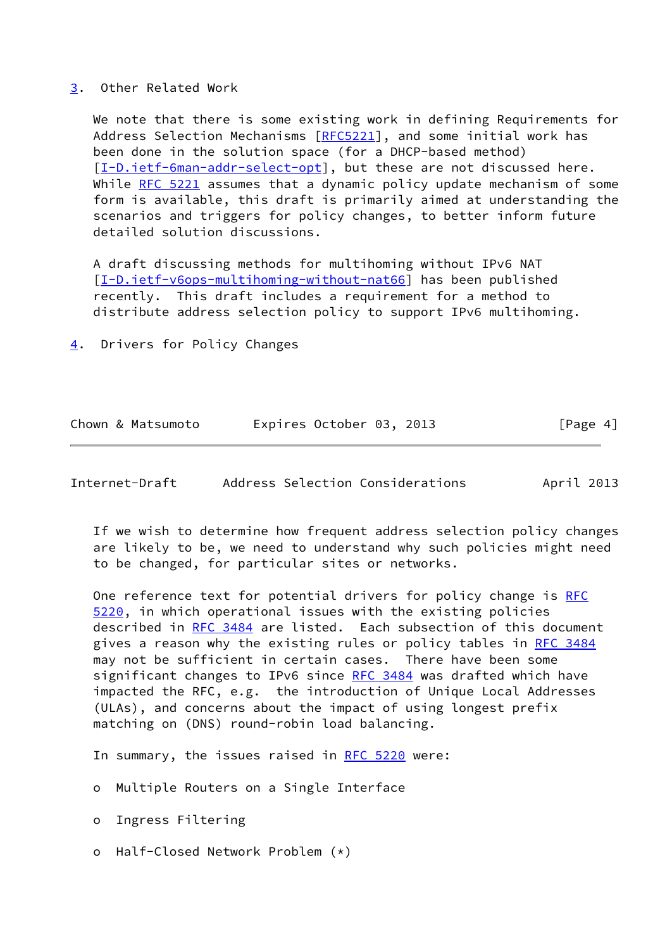#### <span id="page-4-1"></span>[3](#page-4-1). Other Related Work

 We note that there is some existing work in defining Requirements for Address Selection Mechanisms [\[RFC5221](https://datatracker.ietf.org/doc/pdf/rfc5221)], and some initial work has been done in the solution space (for a DHCP-based method) [\[I-D.ietf-6man-addr-select-opt](#page-18-1)], but these are not discussed here. While [RFC 5221](https://datatracker.ietf.org/doc/pdf/rfc5221) assumes that a dynamic policy update mechanism of some form is available, this draft is primarily aimed at understanding the scenarios and triggers for policy changes, to better inform future detailed solution discussions.

 A draft discussing methods for multihoming without IPv6 NAT [\[I-D.ietf-v6ops-multihoming-without-nat66](#page-18-2)] has been published recently. This draft includes a requirement for a method to distribute address selection policy to support IPv6 multihoming.

<span id="page-4-0"></span>[4](#page-4-0). Drivers for Policy Changes

| Expires October 03, 2013<br>Chown & Matsumoto | [Page 4] |
|-----------------------------------------------|----------|
|-----------------------------------------------|----------|

| Internet-Draft |  |  | Address Selection Considerations | April 2013 |
|----------------|--|--|----------------------------------|------------|
|----------------|--|--|----------------------------------|------------|

 If we wish to determine how frequent address selection policy changes are likely to be, we need to understand why such policies might need to be changed, for particular sites or networks.

One reference text for potential drivers for policy change is [RFC](https://datatracker.ietf.org/doc/pdf/rfc5220) [5220](https://datatracker.ietf.org/doc/pdf/rfc5220), in which operational issues with the existing policies described in [RFC 3484](https://datatracker.ietf.org/doc/pdf/rfc3484) are listed. Each subsection of this document gives a reason why the existing rules or policy tables in [RFC 3484](https://datatracker.ietf.org/doc/pdf/rfc3484) may not be sufficient in certain cases. There have been some significant changes to IPv6 since [RFC 3484](https://datatracker.ietf.org/doc/pdf/rfc3484) was drafted which have impacted the RFC, e.g. the introduction of Unique Local Addresses (ULAs), and concerns about the impact of using longest prefix matching on (DNS) round-robin load balancing.

In summary, the issues raised in [RFC 5220](https://datatracker.ietf.org/doc/pdf/rfc5220) were:

o Multiple Routers on a Single Interface

o Ingress Filtering

o Half-Closed Network Problem (\*)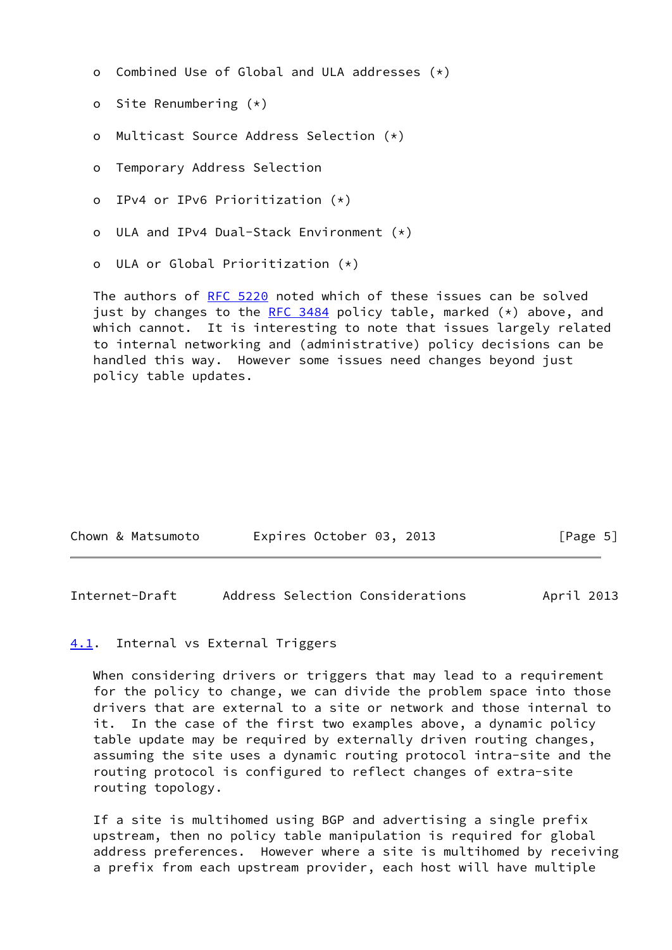- o Combined Use of Global and ULA addresses (\*)
- o Site Renumbering (\*)
- o Multicast Source Address Selection (\*)
- o Temporary Address Selection
- o IPv4 or IPv6 Prioritization (\*)
- o ULA and IPv4 Dual-Stack Environment (\*)
- o ULA or Global Prioritization (\*)

The authors of [RFC 5220](https://datatracker.ietf.org/doc/pdf/rfc5220) noted which of these issues can be solved just by changes to the [RFC 3484](https://datatracker.ietf.org/doc/pdf/rfc3484) policy table, marked  $(*)$  above, and which cannot. It is interesting to note that issues largely related to internal networking and (administrative) policy decisions can be handled this way. However some issues need changes beyond just policy table updates.

| Chown & Matsumoto | Expires October 03, 2013 | [Page 5] |
|-------------------|--------------------------|----------|
|-------------------|--------------------------|----------|

<span id="page-5-1"></span>Internet-Draft Address Selection Considerations April 2013

#### <span id="page-5-0"></span>[4.1](#page-5-0). Internal vs External Triggers

 When considering drivers or triggers that may lead to a requirement for the policy to change, we can divide the problem space into those drivers that are external to a site or network and those internal to it. In the case of the first two examples above, a dynamic policy table update may be required by externally driven routing changes, assuming the site uses a dynamic routing protocol intra-site and the routing protocol is configured to reflect changes of extra-site routing topology.

 If a site is multihomed using BGP and advertising a single prefix upstream, then no policy table manipulation is required for global address preferences. However where a site is multihomed by receiving a prefix from each upstream provider, each host will have multiple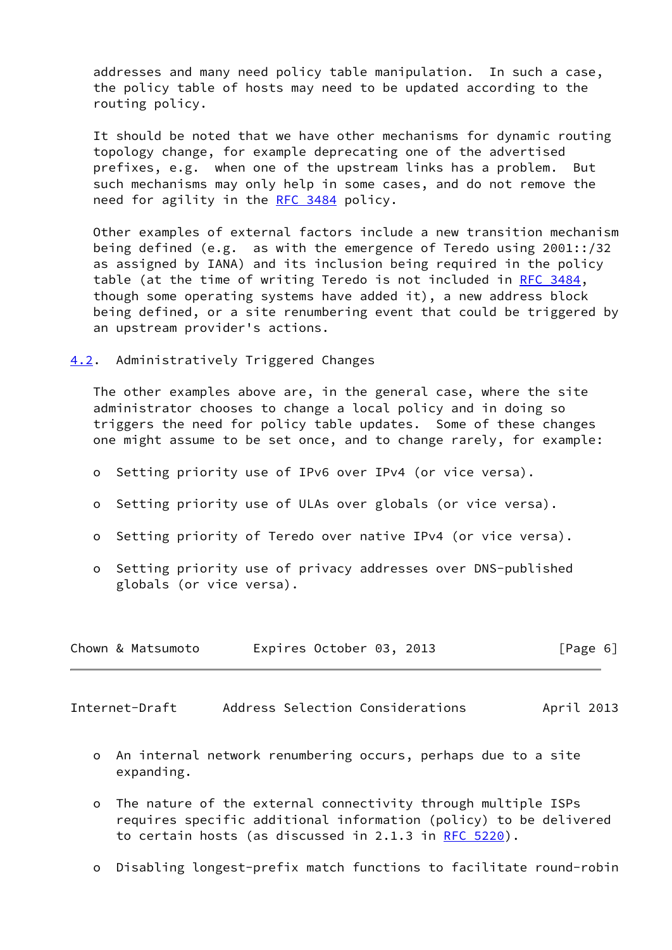addresses and many need policy table manipulation. In such a case, the policy table of hosts may need to be updated according to the routing policy.

 It should be noted that we have other mechanisms for dynamic routing topology change, for example deprecating one of the advertised prefixes, e.g. when one of the upstream links has a problem. But such mechanisms may only help in some cases, and do not remove the need for agility in the [RFC 3484](https://datatracker.ietf.org/doc/pdf/rfc3484) policy.

 Other examples of external factors include a new transition mechanism being defined (e.g. as with the emergence of Teredo using 2001::/32 as assigned by IANA) and its inclusion being required in the policy table (at the time of writing Teredo is not included in [RFC 3484](https://datatracker.ietf.org/doc/pdf/rfc3484), though some operating systems have added it), a new address block being defined, or a site renumbering event that could be triggered by an upstream provider's actions.

## <span id="page-6-0"></span>[4.2](#page-6-0). Administratively Triggered Changes

 The other examples above are, in the general case, where the site administrator chooses to change a local policy and in doing so triggers the need for policy table updates. Some of these changes one might assume to be set once, and to change rarely, for example:

- o Setting priority use of IPv6 over IPv4 (or vice versa).
- o Setting priority use of ULAs over globals (or vice versa).
- o Setting priority of Teredo over native IPv4 (or vice versa).
- o Setting priority use of privacy addresses over DNS-published globals (or vice versa).

| Chown & Matsumoto | Expires October 03, 2013 | [Page 6] |
|-------------------|--------------------------|----------|
|-------------------|--------------------------|----------|

<span id="page-6-1"></span>Internet-Draft Address Selection Considerations April 2013

- o An internal network renumbering occurs, perhaps due to a site expanding.
- o The nature of the external connectivity through multiple ISPs requires specific additional information (policy) to be delivered to certain hosts (as discussed in 2.1.3 in [RFC 5220](https://datatracker.ietf.org/doc/pdf/rfc5220)).
- o Disabling longest-prefix match functions to facilitate round-robin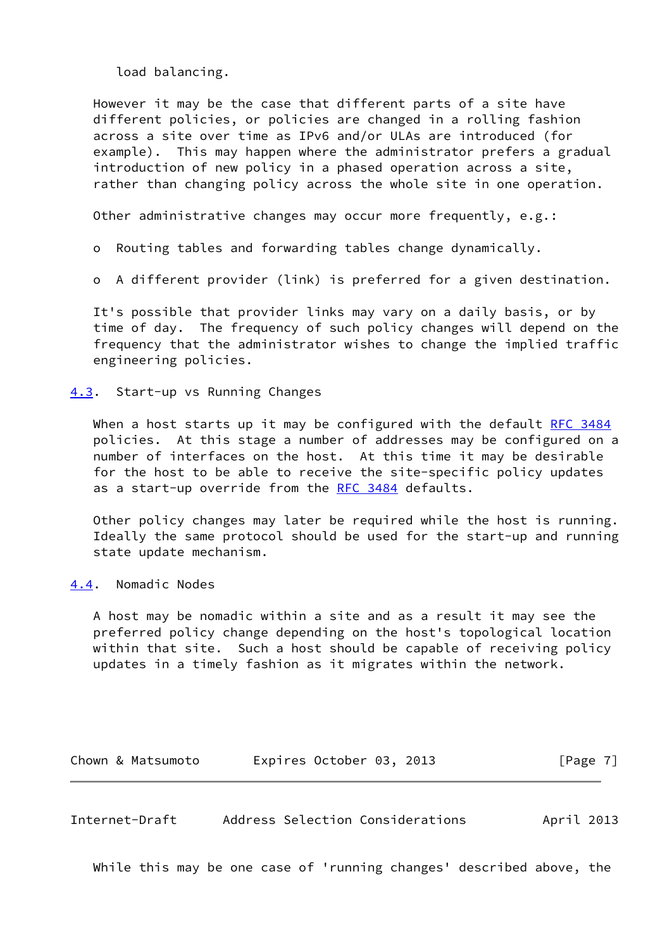load balancing.

 However it may be the case that different parts of a site have different policies, or policies are changed in a rolling fashion across a site over time as IPv6 and/or ULAs are introduced (for example). This may happen where the administrator prefers a gradual introduction of new policy in a phased operation across a site, rather than changing policy across the whole site in one operation.

Other administrative changes may occur more frequently, e.g.:

o Routing tables and forwarding tables change dynamically.

o A different provider (link) is preferred for a given destination.

 It's possible that provider links may vary on a daily basis, or by time of day. The frequency of such policy changes will depend on the frequency that the administrator wishes to change the implied traffic engineering policies.

<span id="page-7-0"></span>[4.3](#page-7-0). Start-up vs Running Changes

When a host starts up it may be configured with the default [RFC 3484](https://datatracker.ietf.org/doc/pdf/rfc3484) policies. At this stage a number of addresses may be configured on a number of interfaces on the host. At this time it may be desirable for the host to be able to receive the site-specific policy updates as a start-up override from the [RFC 3484](https://datatracker.ietf.org/doc/pdf/rfc3484) defaults.

 Other policy changes may later be required while the host is running. Ideally the same protocol should be used for the start-up and running state update mechanism.

<span id="page-7-1"></span>[4.4](#page-7-1). Nomadic Nodes

 A host may be nomadic within a site and as a result it may see the preferred policy change depending on the host's topological location within that site. Such a host should be capable of receiving policy updates in a timely fashion as it migrates within the network.

| Chown & Matsumoto | Expires October 03, 2013 |  |  |  | [Page 7] |  |
|-------------------|--------------------------|--|--|--|----------|--|
|-------------------|--------------------------|--|--|--|----------|--|

<span id="page-7-2"></span>Internet-Draft Address Selection Considerations April 2013

While this may be one case of 'running changes' described above, the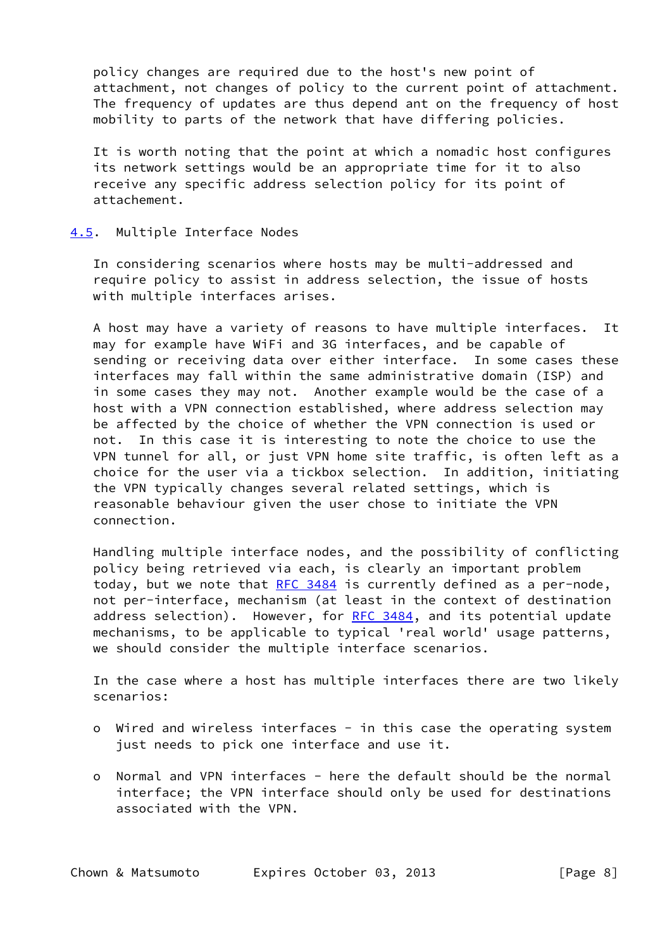policy changes are required due to the host's new point of attachment, not changes of policy to the current point of attachment. The frequency of updates are thus depend ant on the frequency of host mobility to parts of the network that have differing policies.

 It is worth noting that the point at which a nomadic host configures its network settings would be an appropriate time for it to also receive any specific address selection policy for its point of attachement.

#### <span id="page-8-0"></span>[4.5](#page-8-0). Multiple Interface Nodes

 In considering scenarios where hosts may be multi-addressed and require policy to assist in address selection, the issue of hosts with multiple interfaces arises.

 A host may have a variety of reasons to have multiple interfaces. It may for example have WiFi and 3G interfaces, and be capable of sending or receiving data over either interface. In some cases these interfaces may fall within the same administrative domain (ISP) and in some cases they may not. Another example would be the case of a host with a VPN connection established, where address selection may be affected by the choice of whether the VPN connection is used or not. In this case it is interesting to note the choice to use the VPN tunnel for all, or just VPN home site traffic, is often left as a choice for the user via a tickbox selection. In addition, initiating the VPN typically changes several related settings, which is reasonable behaviour given the user chose to initiate the VPN connection.

 Handling multiple interface nodes, and the possibility of conflicting policy being retrieved via each, is clearly an important problem today, but we note that [RFC 3484](https://datatracker.ietf.org/doc/pdf/rfc3484) is currently defined as a per-node, not per-interface, mechanism (at least in the context of destination address selection). However, for [RFC 3484](https://datatracker.ietf.org/doc/pdf/rfc3484), and its potential update mechanisms, to be applicable to typical 'real world' usage patterns, we should consider the multiple interface scenarios.

 In the case where a host has multiple interfaces there are two likely scenarios:

- o Wired and wireless interfaces in this case the operating system just needs to pick one interface and use it.
- o Normal and VPN interfaces here the default should be the normal interface; the VPN interface should only be used for destinations associated with the VPN.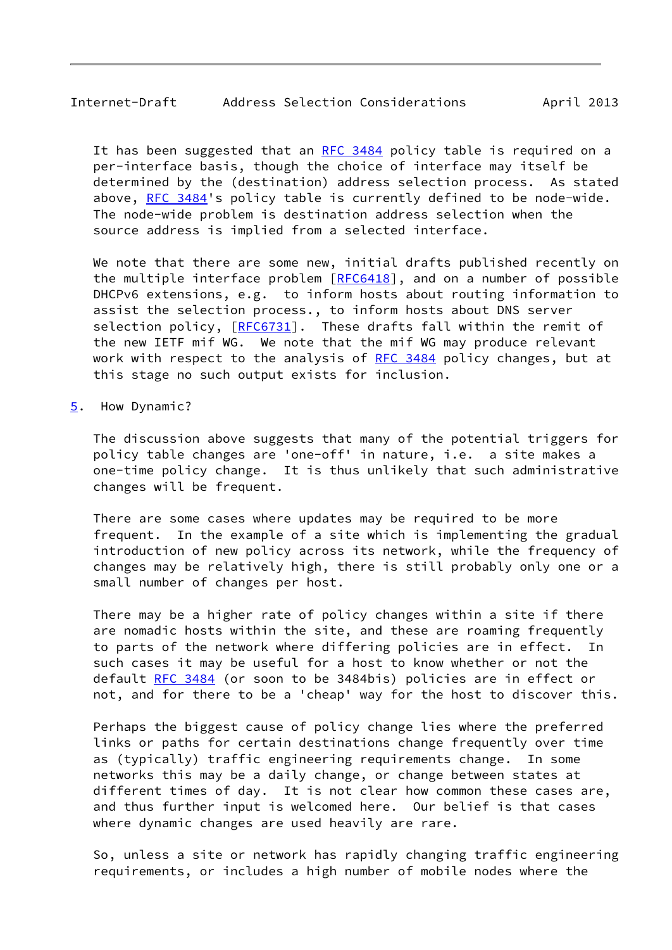# <span id="page-9-1"></span>Internet-Draft Address Selection Considerations April 2013

It has been suggested that an [RFC 3484](https://datatracker.ietf.org/doc/pdf/rfc3484) policy table is required on a per-interface basis, though the choice of interface may itself be determined by the (destination) address selection process. As stated above, [RFC 3484](https://datatracker.ietf.org/doc/pdf/rfc3484)'s policy table is currently defined to be node-wide. The node-wide problem is destination address selection when the source address is implied from a selected interface.

 We note that there are some new, initial drafts published recently on the multiple interface problem  $[REC6418]$ , and on a number of possible DHCPv6 extensions, e.g. to inform hosts about routing information to assist the selection process., to inform hosts about DNS server selection policy, [[RFC6731](https://datatracker.ietf.org/doc/pdf/rfc6731)]. These drafts fall within the remit of the new IETF mif WG. We note that the mif WG may produce relevant work with respect to the analysis of [RFC 3484](https://datatracker.ietf.org/doc/pdf/rfc3484) policy changes, but at this stage no such output exists for inclusion.

#### <span id="page-9-0"></span>[5](#page-9-0). How Dynamic?

 The discussion above suggests that many of the potential triggers for policy table changes are 'one-off' in nature, i.e. a site makes a one-time policy change. It is thus unlikely that such administrative changes will be frequent.

 There are some cases where updates may be required to be more frequent. In the example of a site which is implementing the gradual introduction of new policy across its network, while the frequency of changes may be relatively high, there is still probably only one or a small number of changes per host.

 There may be a higher rate of policy changes within a site if there are nomadic hosts within the site, and these are roaming frequently to parts of the network where differing policies are in effect. In such cases it may be useful for a host to know whether or not the default [RFC 3484](https://datatracker.ietf.org/doc/pdf/rfc3484) (or soon to be 3484bis) policies are in effect or not, and for there to be a 'cheap' way for the host to discover this.

 Perhaps the biggest cause of policy change lies where the preferred links or paths for certain destinations change frequently over time as (typically) traffic engineering requirements change. In some networks this may be a daily change, or change between states at different times of day. It is not clear how common these cases are, and thus further input is welcomed here. Our belief is that cases where dynamic changes are used heavily are rare.

 So, unless a site or network has rapidly changing traffic engineering requirements, or includes a high number of mobile nodes where the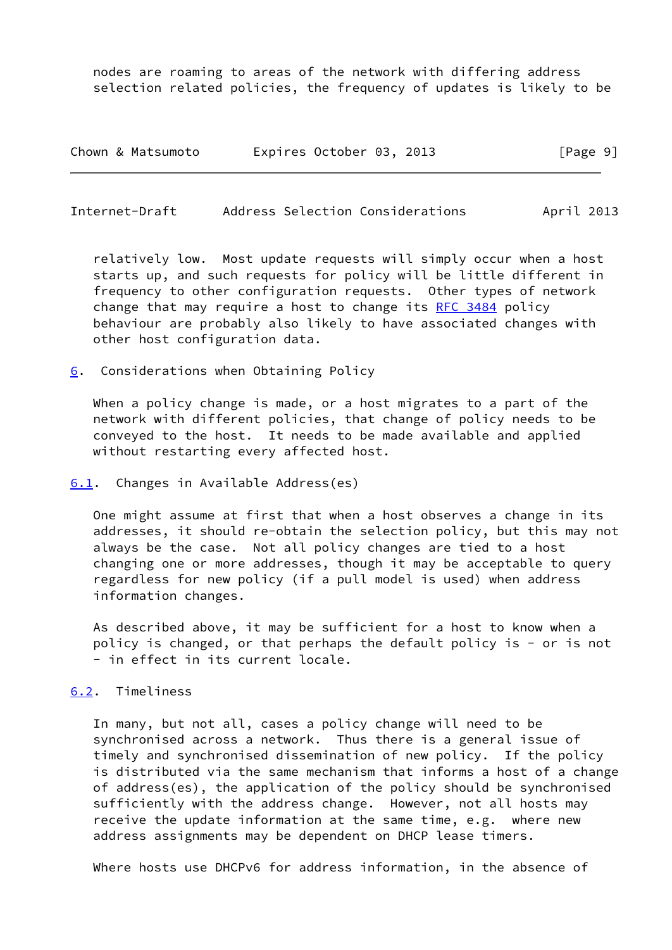nodes are roaming to areas of the network with differing address selection related policies, the frequency of updates is likely to be

| Chown & Matsumoto | Expires October 03, 2013 | [Page 9] |
|-------------------|--------------------------|----------|
|-------------------|--------------------------|----------|

<span id="page-10-1"></span>Internet-Draft Address Selection Considerations April 2013

 relatively low. Most update requests will simply occur when a host starts up, and such requests for policy will be little different in frequency to other configuration requests. Other types of network change that may require a host to change its [RFC 3484](https://datatracker.ietf.org/doc/pdf/rfc3484) policy behaviour are probably also likely to have associated changes with other host configuration data.

<span id="page-10-0"></span>[6](#page-10-0). Considerations when Obtaining Policy

 When a policy change is made, or a host migrates to a part of the network with different policies, that change of policy needs to be conveyed to the host. It needs to be made available and applied without restarting every affected host.

<span id="page-10-2"></span>[6.1](#page-10-2). Changes in Available Address(es)

 One might assume at first that when a host observes a change in its addresses, it should re-obtain the selection policy, but this may not always be the case. Not all policy changes are tied to a host changing one or more addresses, though it may be acceptable to query regardless for new policy (if a pull model is used) when address information changes.

 As described above, it may be sufficient for a host to know when a policy is changed, or that perhaps the default policy is - or is not - in effect in its current locale.

## <span id="page-10-3"></span>[6.2](#page-10-3). Timeliness

 In many, but not all, cases a policy change will need to be synchronised across a network. Thus there is a general issue of timely and synchronised dissemination of new policy. If the policy is distributed via the same mechanism that informs a host of a change of address(es), the application of the policy should be synchronised sufficiently with the address change. However, not all hosts may receive the update information at the same time, e.g. where new address assignments may be dependent on DHCP lease timers.

Where hosts use DHCPv6 for address information, in the absence of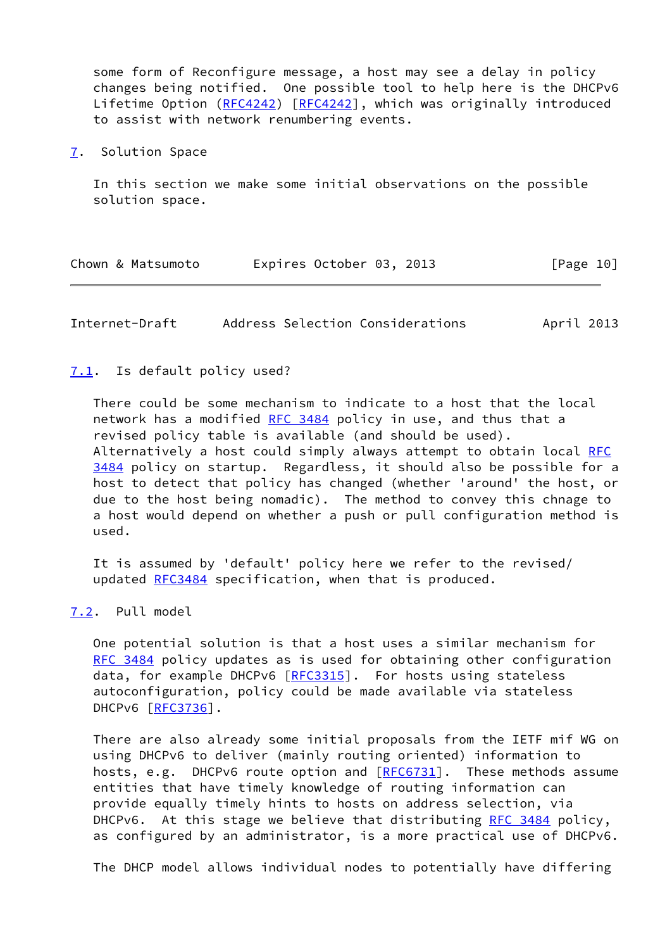some form of Reconfigure message, a host may see a delay in policy changes being notified. One possible tool to help here is the DHCPv6 Lifetime Option [\(RFC4242](https://datatracker.ietf.org/doc/pdf/rfc4242)) [[RFC4242](https://datatracker.ietf.org/doc/pdf/rfc4242)], which was originally introduced to assist with network renumbering events.

<span id="page-11-0"></span>[7](#page-11-0). Solution Space

 In this section we make some initial observations on the possible solution space.

|  | Chown & Matsumoto |  | Expires October 03, 2013 |  |  | [Page 10] |  |
|--|-------------------|--|--------------------------|--|--|-----------|--|
|--|-------------------|--|--------------------------|--|--|-----------|--|

<span id="page-11-2"></span>Internet-Draft Address Selection Considerations April 2013

#### <span id="page-11-1"></span>[7.1](#page-11-1). Is default policy used?

 There could be some mechanism to indicate to a host that the local network has a modified [RFC 3484](https://datatracker.ietf.org/doc/pdf/rfc3484) policy in use, and thus that a revised policy table is available (and should be used). Alternatively a host could simply always attempt to obtain local [RFC](https://datatracker.ietf.org/doc/pdf/rfc3484) [3484](https://datatracker.ietf.org/doc/pdf/rfc3484) policy on startup. Regardless, it should also be possible for a host to detect that policy has changed (whether 'around' the host, or due to the host being nomadic). The method to convey this chnage to a host would depend on whether a push or pull configuration method is used.

 It is assumed by 'default' policy here we refer to the revised/ updated [RFC3484](https://datatracker.ietf.org/doc/pdf/rfc3484) specification, when that is produced.

# <span id="page-11-3"></span>[7.2](#page-11-3). Pull model

 One potential solution is that a host uses a similar mechanism for [RFC 3484](https://datatracker.ietf.org/doc/pdf/rfc3484) policy updates as is used for obtaining other configuration data, for example DHCPv6 [\[RFC3315](https://datatracker.ietf.org/doc/pdf/rfc3315)]. For hosts using stateless autoconfiguration, policy could be made available via stateless DHCPv6 [\[RFC3736](https://datatracker.ietf.org/doc/pdf/rfc3736)].

 There are also already some initial proposals from the IETF mif WG on using DHCPv6 to deliver (mainly routing oriented) information to hosts, e.g. DHCPv6 route option and [\[RFC6731](https://datatracker.ietf.org/doc/pdf/rfc6731)]. These methods assume entities that have timely knowledge of routing information can provide equally timely hints to hosts on address selection, via DHCPv6. At this stage we believe that distributing [RFC 3484](https://datatracker.ietf.org/doc/pdf/rfc3484) policy, as configured by an administrator, is a more practical use of DHCPv6.

The DHCP model allows individual nodes to potentially have differing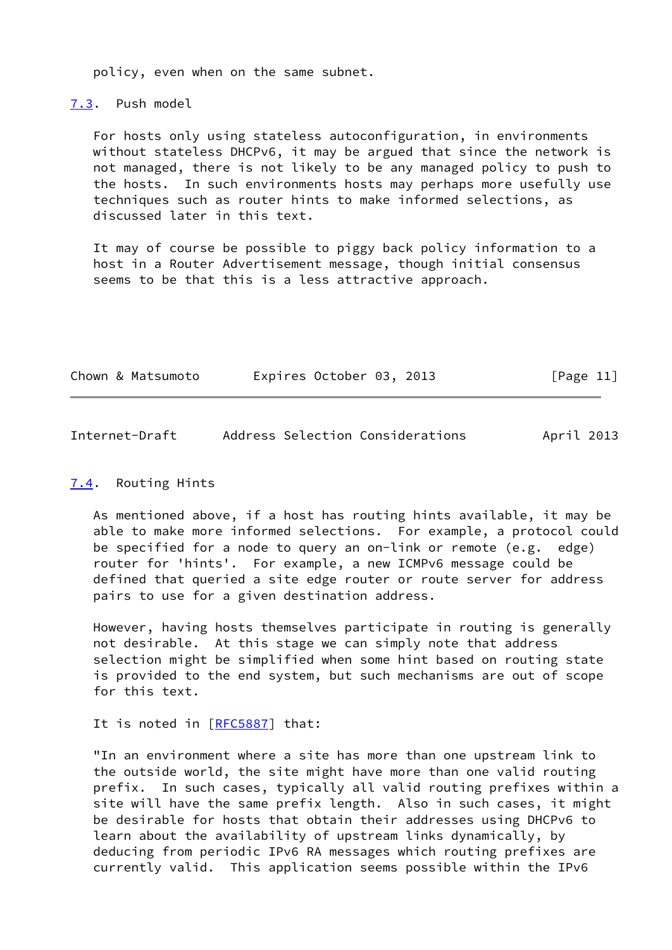policy, even when on the same subnet.

<span id="page-12-0"></span>[7.3](#page-12-0). Push model

 For hosts only using stateless autoconfiguration, in environments without stateless DHCPv6, it may be argued that since the network is not managed, there is not likely to be any managed policy to push to the hosts. In such environments hosts may perhaps more usefully use techniques such as router hints to make informed selections, as discussed later in this text.

 It may of course be possible to piggy back policy information to a host in a Router Advertisement message, though initial consensus seems to be that this is a less attractive approach.

| Expires October 03, 2013<br>[Page 11]<br>Chown & Matsumoto |  |
|------------------------------------------------------------|--|
|------------------------------------------------------------|--|

<span id="page-12-2"></span>

| Internet-Draft |  | Address Selection Considerations | April 2013 |
|----------------|--|----------------------------------|------------|
|                |  |                                  |            |

# <span id="page-12-1"></span>[7.4](#page-12-1). Routing Hints

 As mentioned above, if a host has routing hints available, it may be able to make more informed selections. For example, a protocol could be specified for a node to query an on-link or remote (e.g. edge) router for 'hints'. For example, a new ICMPv6 message could be defined that queried a site edge router or route server for address pairs to use for a given destination address.

 However, having hosts themselves participate in routing is generally not desirable. At this stage we can simply note that address selection might be simplified when some hint based on routing state is provided to the end system, but such mechanisms are out of scope for this text.

# It is noted in [\[RFC5887](https://datatracker.ietf.org/doc/pdf/rfc5887)] that:

 "In an environment where a site has more than one upstream link to the outside world, the site might have more than one valid routing prefix. In such cases, typically all valid routing prefixes within a site will have the same prefix length. Also in such cases, it might be desirable for hosts that obtain their addresses using DHCPv6 to learn about the availability of upstream links dynamically, by deducing from periodic IPv6 RA messages which routing prefixes are currently valid. This application seems possible within the IPv6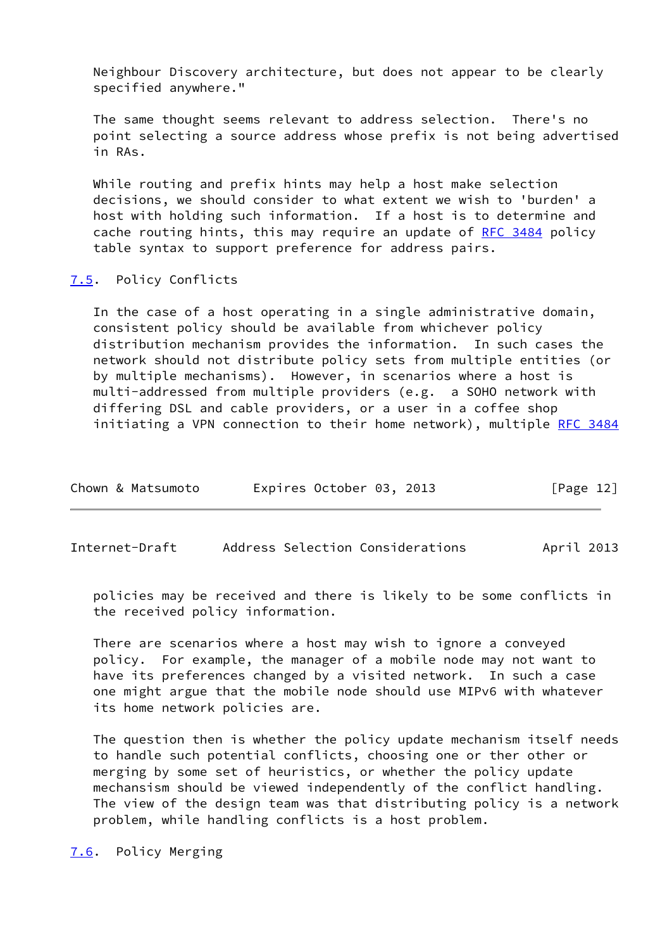Neighbour Discovery architecture, but does not appear to be clearly specified anywhere."

 The same thought seems relevant to address selection. There's no point selecting a source address whose prefix is not being advertised in RAs.

 While routing and prefix hints may help a host make selection decisions, we should consider to what extent we wish to 'burden' a host with holding such information. If a host is to determine and cache routing hints, this may require an update of [RFC 3484](https://datatracker.ietf.org/doc/pdf/rfc3484) policy table syntax to support preference for address pairs.

# <span id="page-13-0"></span>[7.5](#page-13-0). Policy Conflicts

 In the case of a host operating in a single administrative domain, consistent policy should be available from whichever policy distribution mechanism provides the information. In such cases the network should not distribute policy sets from multiple entities (or by multiple mechanisms). However, in scenarios where a host is multi-addressed from multiple providers (e.g. a SOHO network with differing DSL and cable providers, or a user in a coffee shop initiating a VPN connection to their home network), multiple [RFC 3484](https://datatracker.ietf.org/doc/pdf/rfc3484)

| Chown & Matsumoto |  | Expires October 03, 2013 |  |  | [Page 12] |  |
|-------------------|--|--------------------------|--|--|-----------|--|
|-------------------|--|--------------------------|--|--|-----------|--|

<span id="page-13-2"></span>Internet-Draft Address Selection Considerations April 2013

 policies may be received and there is likely to be some conflicts in the received policy information.

 There are scenarios where a host may wish to ignore a conveyed policy. For example, the manager of a mobile node may not want to have its preferences changed by a visited network. In such a case one might argue that the mobile node should use MIPv6 with whatever its home network policies are.

 The question then is whether the policy update mechanism itself needs to handle such potential conflicts, choosing one or ther other or merging by some set of heuristics, or whether the policy update mechansism should be viewed independently of the conflict handling. The view of the design team was that distributing policy is a network problem, while handling conflicts is a host problem.

<span id="page-13-1"></span>[7.6](#page-13-1). Policy Merging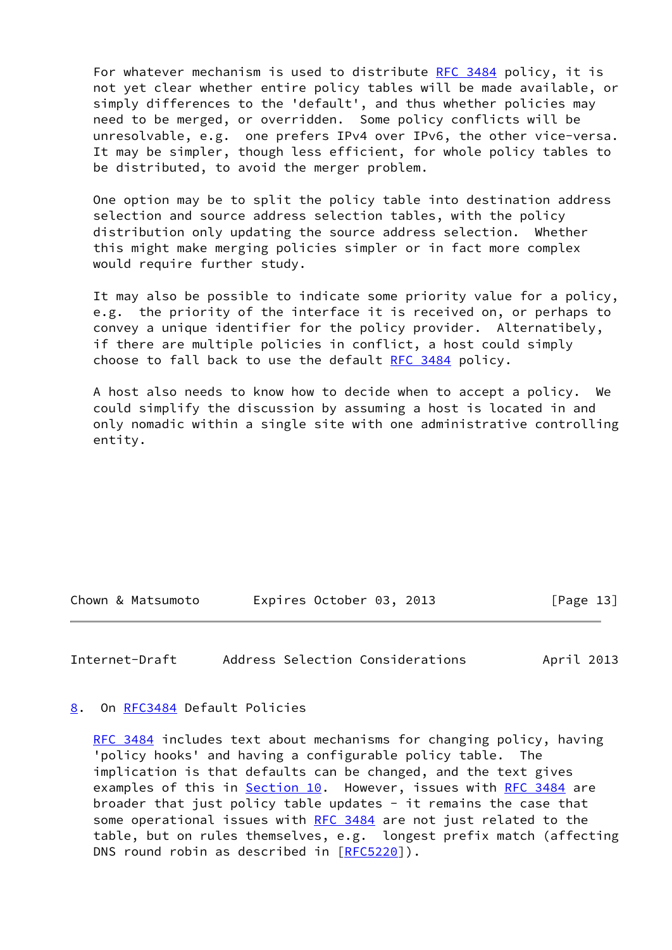For whatever mechanism is used to distribute [RFC 3484](https://datatracker.ietf.org/doc/pdf/rfc3484) policy, it is not yet clear whether entire policy tables will be made available, or simply differences to the 'default', and thus whether policies may need to be merged, or overridden. Some policy conflicts will be unresolvable, e.g. one prefers IPv4 over IPv6, the other vice-versa. It may be simpler, though less efficient, for whole policy tables to be distributed, to avoid the merger problem.

 One option may be to split the policy table into destination address selection and source address selection tables, with the policy distribution only updating the source address selection. Whether this might make merging policies simpler or in fact more complex would require further study.

 It may also be possible to indicate some priority value for a policy, e.g. the priority of the interface it is received on, or perhaps to convey a unique identifier for the policy provider. Alternatibely, if there are multiple policies in conflict, a host could simply choose to fall back to use the default [RFC 3484](https://datatracker.ietf.org/doc/pdf/rfc3484) policy.

 A host also needs to know how to decide when to accept a policy. We could simplify the discussion by assuming a host is located in and only nomadic within a single site with one administrative controlling entity.

Chown & Matsumoto Expires October 03, 2013 [Page 13]

<span id="page-14-1"></span>Internet-Draft Address Selection Considerations April 2013

#### <span id="page-14-0"></span>[8](#page-14-0). On [RFC3484](https://datatracker.ietf.org/doc/pdf/rfc3484) Default Policies

[RFC 3484](https://datatracker.ietf.org/doc/pdf/rfc3484) includes text about mechanisms for changing policy, having 'policy hooks' and having a configurable policy table. The implication is that defaults can be changed, and the text gives examples of this in [Section 10.](#page-17-0) However, issues with [RFC 3484](https://datatracker.ietf.org/doc/pdf/rfc3484) are broader that just policy table updates - it remains the case that some operational issues with [RFC 3484](https://datatracker.ietf.org/doc/pdf/rfc3484) are not just related to the table, but on rules themselves, e.g. longest prefix match (affecting DNS round robin as described in [\[RFC5220](https://datatracker.ietf.org/doc/pdf/rfc5220)]).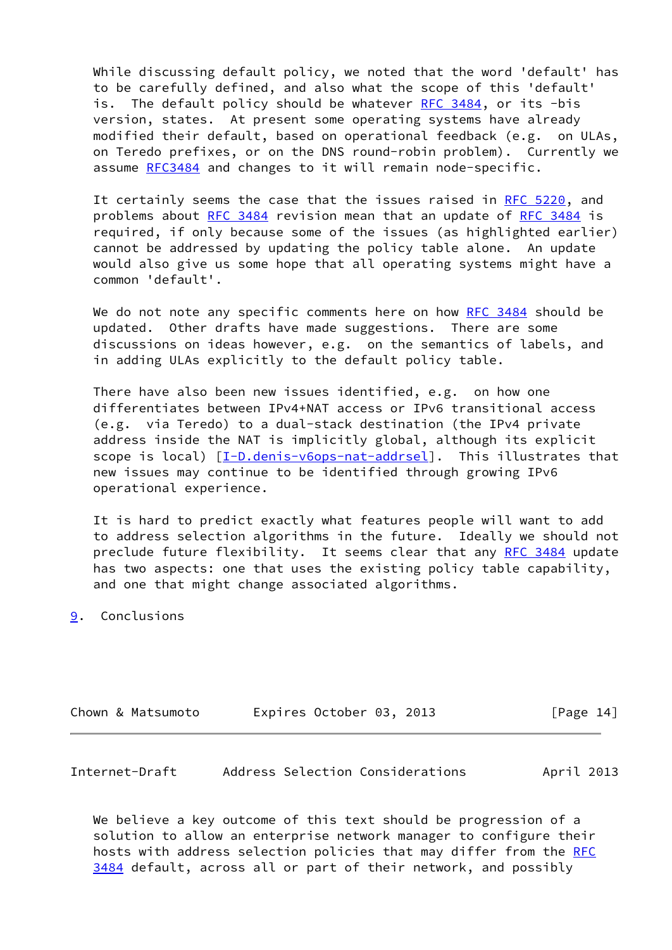While discussing default policy, we noted that the word 'default' has to be carefully defined, and also what the scope of this 'default' is. The default policy should be whatever [RFC 3484,](https://datatracker.ietf.org/doc/pdf/rfc3484) or its -bis version, states. At present some operating systems have already modified their default, based on operational feedback (e.g. on ULAs, on Teredo prefixes, or on the DNS round-robin problem). Currently we assume [RFC3484](https://datatracker.ietf.org/doc/pdf/rfc3484) and changes to it will remain node-specific.

 It certainly seems the case that the issues raised in [RFC 5220](https://datatracker.ietf.org/doc/pdf/rfc5220), and problems about [RFC 3484](https://datatracker.ietf.org/doc/pdf/rfc3484) revision mean that an update of [RFC 3484](https://datatracker.ietf.org/doc/pdf/rfc3484) is required, if only because some of the issues (as highlighted earlier) cannot be addressed by updating the policy table alone. An update would also give us some hope that all operating systems might have a common 'default'.

We do not note any specific comments here on how [RFC 3484](https://datatracker.ietf.org/doc/pdf/rfc3484) should be updated. Other drafts have made suggestions. There are some discussions on ideas however, e.g. on the semantics of labels, and in adding ULAs explicitly to the default policy table.

 There have also been new issues identified, e.g. on how one differentiates between IPv4+NAT access or IPv6 transitional access (e.g. via Teredo) to a dual-stack destination (the IPv4 private address inside the NAT is implicitly global, although its explicit scope is local) [\[I-D.denis-v6ops-nat-addrsel](#page-18-3)]. This illustrates that new issues may continue to be identified through growing IPv6 operational experience.

 It is hard to predict exactly what features people will want to add to address selection algorithms in the future. Ideally we should not preclude future flexibility. It seems clear that any [RFC 3484](https://datatracker.ietf.org/doc/pdf/rfc3484) update has two aspects: one that uses the existing policy table capability, and one that might change associated algorithms.

# <span id="page-15-0"></span>[9](#page-15-0). Conclusions

|  |  | Chown & Matsumoto |  | Expires October 03, 2013 |  |  | [Page 14] |  |
|--|--|-------------------|--|--------------------------|--|--|-----------|--|
|--|--|-------------------|--|--------------------------|--|--|-----------|--|

| Internet-Draft | Address Selection Considerations |  | April 2013 |
|----------------|----------------------------------|--|------------|
|----------------|----------------------------------|--|------------|

 We believe a key outcome of this text should be progression of a solution to allow an enterprise network manager to configure their hosts with address selection policies that may differ from the [RFC](https://datatracker.ietf.org/doc/pdf/rfc3484) [3484](https://datatracker.ietf.org/doc/pdf/rfc3484) default, across all or part of their network, and possibly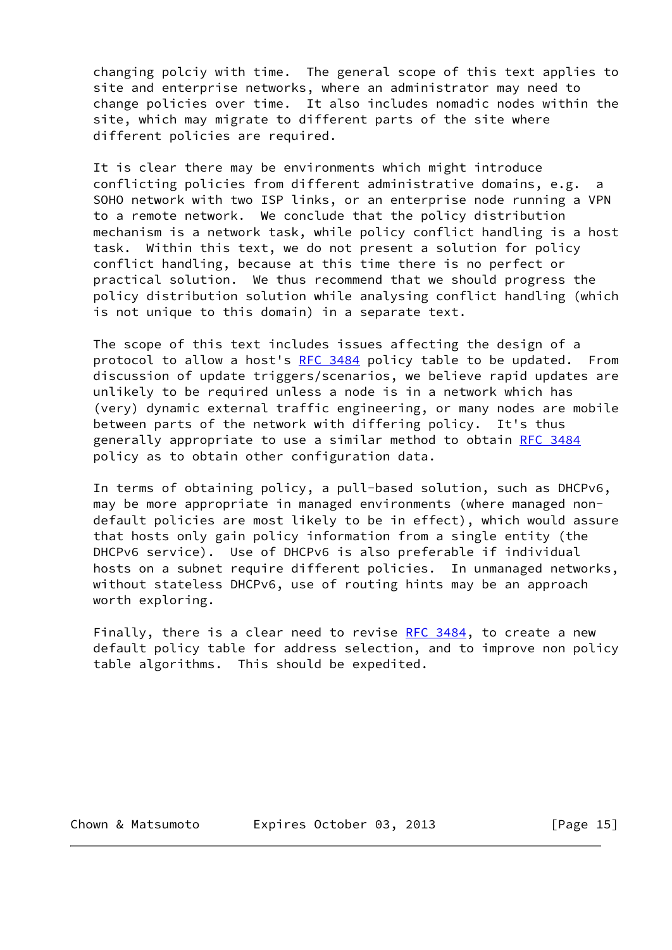changing polciy with time. The general scope of this text applies to site and enterprise networks, where an administrator may need to change policies over time. It also includes nomadic nodes within the site, which may migrate to different parts of the site where different policies are required.

 It is clear there may be environments which might introduce conflicting policies from different administrative domains, e.g. a SOHO network with two ISP links, or an enterprise node running a VPN to a remote network. We conclude that the policy distribution mechanism is a network task, while policy conflict handling is a host task. Within this text, we do not present a solution for policy conflict handling, because at this time there is no perfect or practical solution. We thus recommend that we should progress the policy distribution solution while analysing conflict handling (which is not unique to this domain) in a separate text.

 The scope of this text includes issues affecting the design of a protocol to allow a host's [RFC 3484](https://datatracker.ietf.org/doc/pdf/rfc3484) policy table to be updated. From discussion of update triggers/scenarios, we believe rapid updates are unlikely to be required unless a node is in a network which has (very) dynamic external traffic engineering, or many nodes are mobile between parts of the network with differing policy. It's thus generally appropriate to use a similar method to obtain [RFC 3484](https://datatracker.ietf.org/doc/pdf/rfc3484) policy as to obtain other configuration data.

 In terms of obtaining policy, a pull-based solution, such as DHCPv6, may be more appropriate in managed environments (where managed non default policies are most likely to be in effect), which would assure that hosts only gain policy information from a single entity (the DHCPv6 service). Use of DHCPv6 is also preferable if individual hosts on a subnet require different policies. In unmanaged networks, without stateless DHCPv6, use of routing hints may be an approach worth exploring.

Finally, there is a clear need to revise  $RFC$  3484, to create a new default policy table for address selection, and to improve non policy table algorithms. This should be expedited.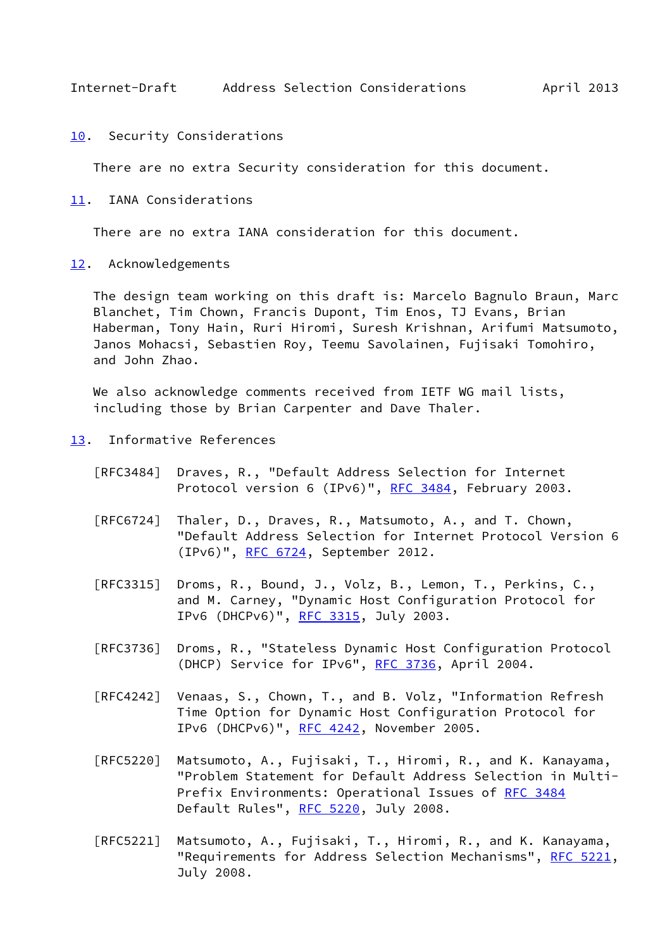<span id="page-17-1"></span>Internet-Draft Address Selection Considerations April 2013

<span id="page-17-0"></span>[10.](#page-17-0) Security Considerations

There are no extra Security consideration for this document.

<span id="page-17-2"></span>[11.](#page-17-2) IANA Considerations

There are no extra IANA consideration for this document.

<span id="page-17-3"></span>[12.](#page-17-3) Acknowledgements

 The design team working on this draft is: Marcelo Bagnulo Braun, Marc Blanchet, Tim Chown, Francis Dupont, Tim Enos, TJ Evans, Brian Haberman, Tony Hain, Ruri Hiromi, Suresh Krishnan, Arifumi Matsumoto, Janos Mohacsi, Sebastien Roy, Teemu Savolainen, Fujisaki Tomohiro, and John Zhao.

We also acknowledge comments received from IETF WG mail lists, including those by Brian Carpenter and Dave Thaler.

- <span id="page-17-4"></span>[13.](#page-17-4) Informative References
	- [RFC3484] Draves, R., "Default Address Selection for Internet Protocol version 6 (IPv6)", [RFC 3484,](https://datatracker.ietf.org/doc/pdf/rfc3484) February 2003.
	- [RFC6724] Thaler, D., Draves, R., Matsumoto, A., and T. Chown, "Default Address Selection for Internet Protocol Version 6 (IPv6)", [RFC 6724,](https://datatracker.ietf.org/doc/pdf/rfc6724) September 2012.
	- [RFC3315] Droms, R., Bound, J., Volz, B., Lemon, T., Perkins, C., and M. Carney, "Dynamic Host Configuration Protocol for IPv6 (DHCPv6)", [RFC 3315,](https://datatracker.ietf.org/doc/pdf/rfc3315) July 2003.
	- [RFC3736] Droms, R., "Stateless Dynamic Host Configuration Protocol (DHCP) Service for IPv6", [RFC 3736](https://datatracker.ietf.org/doc/pdf/rfc3736), April 2004.
	- [RFC4242] Venaas, S., Chown, T., and B. Volz, "Information Refresh Time Option for Dynamic Host Configuration Protocol for IPv6 (DHCPv6)", [RFC 4242,](https://datatracker.ietf.org/doc/pdf/rfc4242) November 2005.
	- [RFC5220] Matsumoto, A., Fujisaki, T., Hiromi, R., and K. Kanayama, "Problem Statement for Default Address Selection in Multi- Prefix Environments: Operational Issues of [RFC 3484](https://datatracker.ietf.org/doc/pdf/rfc3484) Default Rules", [RFC 5220,](https://datatracker.ietf.org/doc/pdf/rfc5220) July 2008.
	- [RFC5221] Matsumoto, A., Fujisaki, T., Hiromi, R., and K. Kanayama, "Requirements for Address Selection Mechanisms", [RFC 5221,](https://datatracker.ietf.org/doc/pdf/rfc5221) July 2008.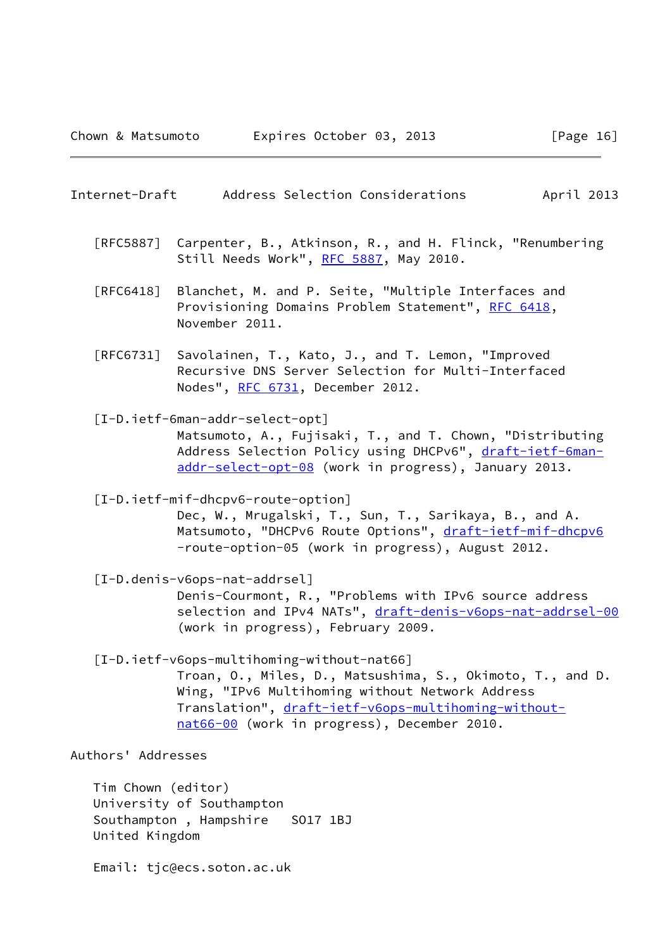# <span id="page-18-0"></span>Internet-Draft Address Selection Considerations April 2013

- [RFC5887] Carpenter, B., Atkinson, R., and H. Flinck, "Renumbering Still Needs Work", [RFC 5887](https://datatracker.ietf.org/doc/pdf/rfc5887), May 2010.
- [RFC6418] Blanchet, M. and P. Seite, "Multiple Interfaces and Provisioning Domains Problem Statement", [RFC 6418,](https://datatracker.ietf.org/doc/pdf/rfc6418) November 2011.
- [RFC6731] Savolainen, T., Kato, J., and T. Lemon, "Improved Recursive DNS Server Selection for Multi-Interfaced Nodes", [RFC 6731,](https://datatracker.ietf.org/doc/pdf/rfc6731) December 2012.
- <span id="page-18-1"></span> [I-D.ietf-6man-addr-select-opt] Matsumoto, A., Fujisaki, T., and T. Chown, "Distributing Address Selection Policy using DHCPv6", [draft-ietf-6man](https://datatracker.ietf.org/doc/pdf/draft-ietf-6man-addr-select-opt-08) [addr-select-opt-08](https://datatracker.ietf.org/doc/pdf/draft-ietf-6man-addr-select-opt-08) (work in progress), January 2013.

 [I-D.ietf-mif-dhcpv6-route-option] Dec, W., Mrugalski, T., Sun, T., Sarikaya, B., and A. Matsumoto, "DHCPv6 Route Options", [draft-ietf-mif-dhcpv6](https://datatracker.ietf.org/doc/pdf/draft-ietf-mif-dhcpv6) -route-option-05 (work in progress), August 2012.

- <span id="page-18-3"></span> [I-D.denis-v6ops-nat-addrsel] Denis-Courmont, R., "Problems with IPv6 source address selection and IPv4 NATs", [draft-denis-v6ops-nat-addrsel-00](https://datatracker.ietf.org/doc/pdf/draft-denis-v6ops-nat-addrsel-00) (work in progress), February 2009.
- <span id="page-18-2"></span> [I-D.ietf-v6ops-multihoming-without-nat66] Troan, O., Miles, D., Matsushima, S., Okimoto, T., and D. Wing, "IPv6 Multihoming without Network Address Translation", [draft-ietf-v6ops-multihoming-without](https://datatracker.ietf.org/doc/pdf/draft-ietf-v6ops-multihoming-without-nat66-00) [nat66-00](https://datatracker.ietf.org/doc/pdf/draft-ietf-v6ops-multihoming-without-nat66-00) (work in progress), December 2010.

Authors' Addresses

 Tim Chown (editor) University of Southampton Southampton , Hampshire SO17 1BJ United Kingdom

Email: tjc@ecs.soton.ac.uk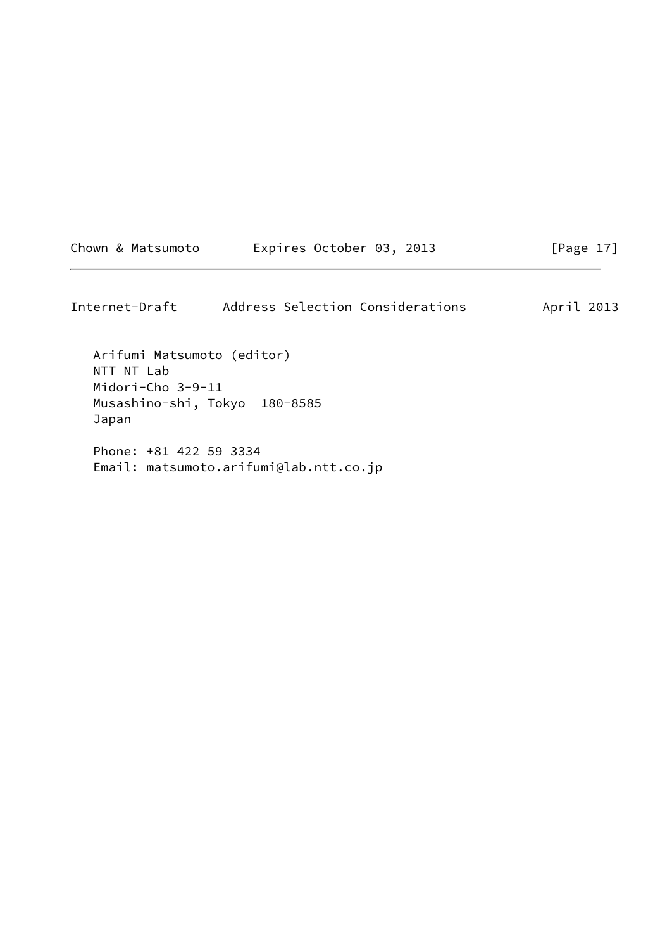| Chown & Matsumoto | Expires October 03, 2013 | [Page 17] |
|-------------------|--------------------------|-----------|
|-------------------|--------------------------|-----------|

Internet-Draft Address Selection Considerations April 2013 Arifumi Matsumoto (editor) NTT NT Lab Midori-Cho 3-9-11 Musashino-shi, Tokyo 180-8585 Japan Phone: +81 422 59 3334 Email: matsumoto.arifumi@lab.ntt.co.jp